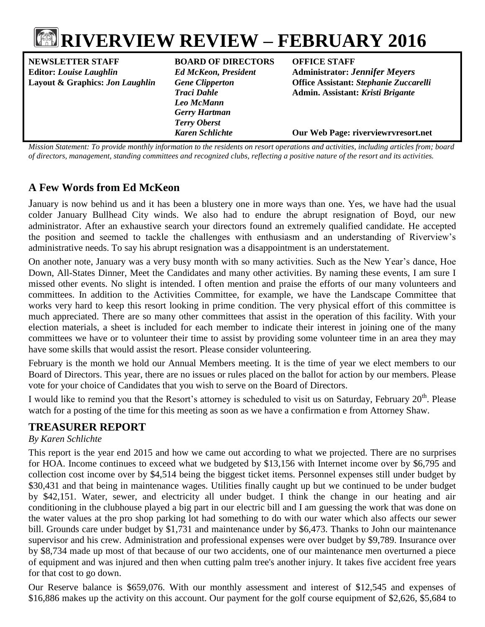

| <b>NEWSLETTER STAFF</b>         | <b>BOARD OF DIRECTORS</b>   | <b>OFFICE STAFF</b>                                                                                                                   |
|---------------------------------|-----------------------------|---------------------------------------------------------------------------------------------------------------------------------------|
| <b>Editor: Louise Laughlin</b>  | <b>Ed McKeon, President</b> | <b>Administrator: Jennifer Meyers</b>                                                                                                 |
| Layout & Graphics: Jon Laughlin | <b>Gene Clipperton</b>      | <b>Office Assistant: Stephanie Zuccarelli</b>                                                                                         |
|                                 | <b>Traci Dahle</b>          | Admin. Assistant: Kristi Brigante                                                                                                     |
|                                 | Leo McMann                  |                                                                                                                                       |
|                                 | <b>Gerry Hartman</b>        |                                                                                                                                       |
|                                 | <b>Terry Oberst</b>         |                                                                                                                                       |
|                                 | <b>Karen Schlichte</b>      | Our Web Page: riverviewrvresort.net                                                                                                   |
|                                 |                             | Mission Chappenett To provide monthly information to the need gute on negath operations and activities, including qutieles from began |

*Mission Statement: To provide monthly information to the residents on resort operations and activities, including articles from; board of directors, management, standing committees and recognized clubs, reflecting a positive nature of the resort and its activities.*

## **A Few Words from Ed McKeon**

January is now behind us and it has been a blustery one in more ways than one. Yes, we have had the usual colder January Bullhead City winds. We also had to endure the abrupt resignation of Boyd, our new administrator. After an exhaustive search your directors found an extremely qualified candidate. He accepted the position and seemed to tackle the challenges with enthusiasm and an understanding of Riverview's administrative needs. To say his abrupt resignation was a disappointment is an understatement.

On another note, January was a very busy month with so many activities. Such as the New Year's dance, Hoe Down, All-States Dinner, Meet the Candidates and many other activities. By naming these events, I am sure I missed other events. No slight is intended. I often mention and praise the efforts of our many volunteers and committees. In addition to the Activities Committee, for example, we have the Landscape Committee that works very hard to keep this resort looking in prime condition. The very physical effort of this committee is much appreciated. There are so many other committees that assist in the operation of this facility. With your election materials, a sheet is included for each member to indicate their interest in joining one of the many committees we have or to volunteer their time to assist by providing some volunteer time in an area they may have some skills that would assist the resort. Please consider volunteering.

February is the month we hold our Annual Members meeting. It is the time of year we elect members to our Board of Directors. This year, there are no issues or rules placed on the ballot for action by our members. Please vote for your choice of Candidates that you wish to serve on the Board of Directors.

I would like to remind you that the Resort's attorney is scheduled to visit us on Saturday, February 20<sup>th</sup>. Please watch for a posting of the time for this meeting as soon as we have a confirmation e from Attorney Shaw.

# **TREASURER REPORT**

#### *By Karen Schlichte*

This report is the year end 2015 and how we came out according to what we projected. There are no surprises for HOA. Income continues to exceed what we budgeted by \$13,156 with Internet income over by \$6,795 and collection cost income over by \$4,514 being the biggest ticket items. Personnel expenses still under budget by \$30,431 and that being in maintenance wages. Utilities finally caught up but we continued to be under budget by \$42,151. Water, sewer, and electricity all under budget. I think the change in our heating and air conditioning in the clubhouse played a big part in our electric bill and I am guessing the work that was done on the water values at the pro shop parking lot had something to do with our water which also affects our sewer bill. Grounds care under budget by \$1,731 and maintenance under by \$6,473. Thanks to John our maintenance supervisor and his crew. Administration and professional expenses were over budget by \$9,789. Insurance over by \$8,734 made up most of that because of our two accidents, one of our maintenance men overturned a piece of equipment and was injured and then when cutting palm tree's another injury. It takes five accident free years for that cost to go down.

Our Reserve balance is \$659,076. With our monthly assessment and interest of \$12,545 and expenses of \$16,886 makes up the activity on this account. Our payment for the golf course equipment of \$2,626, \$5,684 to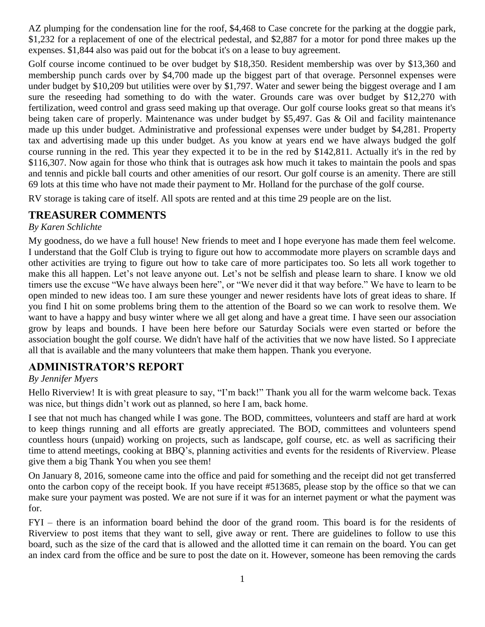AZ plumping for the condensation line for the roof, \$4,468 to Case concrete for the parking at the doggie park, \$1,232 for a replacement of one of the electrical pedestal, and \$2,887 for a motor for pond three makes up the expenses. \$1,844 also was paid out for the bobcat it's on a lease to buy agreement.

Golf course income continued to be over budget by \$18,350. Resident membership was over by \$13,360 and membership punch cards over by \$4,700 made up the biggest part of that overage. Personnel expenses were under budget by \$10,209 but utilities were over by \$1,797. Water and sewer being the biggest overage and I am sure the reseeding had something to do with the water. Grounds care was over budget by \$12,270 with fertilization, weed control and grass seed making up that overage. Our golf course looks great so that means it's being taken care of properly. Maintenance was under budget by \$5,497. Gas & Oil and facility maintenance made up this under budget. Administrative and professional expenses were under budget by \$4,281. Property tax and advertising made up this under budget. As you know at years end we have always budged the golf course running in the red. This year they expected it to be in the red by \$142,811. Actually it's in the red by \$116,307. Now again for those who think that is outrages ask how much it takes to maintain the pools and spas and tennis and pickle ball courts and other amenities of our resort. Our golf course is an amenity. There are still 69 lots at this time who have not made their payment to Mr. Holland for the purchase of the golf course.

RV storage is taking care of itself. All spots are rented and at this time 29 people are on the list.

### **TREASURER COMMENTS**

#### *By Karen Schlichte*

My goodness, do we have a full house! New friends to meet and I hope everyone has made them feel welcome. I understand that the Golf Club is trying to figure out how to accommodate more players on scramble days and other activities are trying to figure out how to take care of more participates too. So lets all work together to make this all happen. Let's not leave anyone out. Let's not be selfish and please learn to share. I know we old timers use the excuse "We have always been here", or "We never did it that way before." We have to learn to be open minded to new ideas too. I am sure these younger and newer residents have lots of great ideas to share. If you find I hit on some problems bring them to the attention of the Board so we can work to resolve them. We want to have a happy and busy winter where we all get along and have a great time. I have seen our association grow by leaps and bounds. I have been here before our Saturday Socials were even started or before the association bought the golf course. We didn't have half of the activities that we now have listed. So I appreciate all that is available and the many volunteers that make them happen. Thank you everyone.

### **ADMINISTRATOR'S REPORT**

#### *By Jennifer Myers*

Hello Riverview! It is with great pleasure to say, "I'm back!" Thank you all for the warm welcome back. Texas was nice, but things didn't work out as planned, so here I am, back home.

I see that not much has changed while I was gone. The BOD, committees, volunteers and staff are hard at work to keep things running and all efforts are greatly appreciated. The BOD, committees and volunteers spend countless hours (unpaid) working on projects, such as landscape, golf course, etc. as well as sacrificing their time to attend meetings, cooking at BBQ's, planning activities and events for the residents of Riverview. Please give them a big Thank You when you see them!

On January 8, 2016, someone came into the office and paid for something and the receipt did not get transferred onto the carbon copy of the receipt book. If you have receipt #513685, please stop by the office so that we can make sure your payment was posted. We are not sure if it was for an internet payment or what the payment was for.

FYI – there is an information board behind the door of the grand room. This board is for the residents of Riverview to post items that they want to sell, give away or rent. There are guidelines to follow to use this board, such as the size of the card that is allowed and the allotted time it can remain on the board. You can get an index card from the office and be sure to post the date on it. However, someone has been removing the cards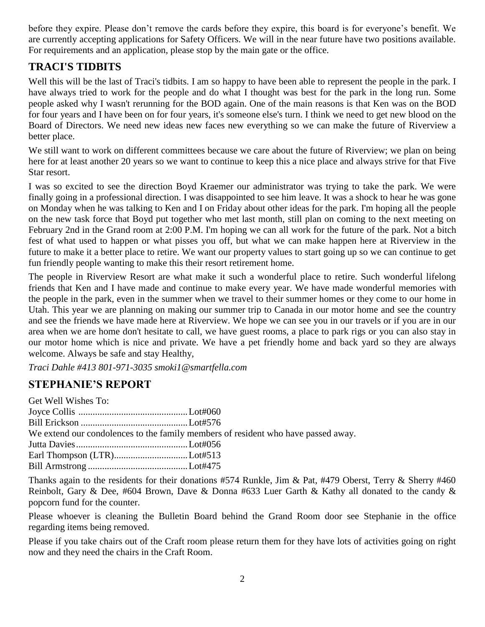before they expire. Please don't remove the cards before they expire, this board is for everyone's benefit. We are currently accepting applications for Safety Officers. We will in the near future have two positions available. For requirements and an application, please stop by the main gate or the office.

# **TRACI'S TIDBITS**

Well this will be the last of Traci's tidbits. I am so happy to have been able to represent the people in the park. I have always tried to work for the people and do what I thought was best for the park in the long run. Some people asked why I wasn't rerunning for the BOD again. One of the main reasons is that Ken was on the BOD for four years and I have been on for four years, it's someone else's turn. I think we need to get new blood on the Board of Directors. We need new ideas new faces new everything so we can make the future of Riverview a better place.

We still want to work on different committees because we care about the future of Riverview; we plan on being here for at least another 20 years so we want to continue to keep this a nice place and always strive for that Five Star resort.

I was so excited to see the direction Boyd Kraemer our administrator was trying to take the park. We were finally going in a professional direction. I was disappointed to see him leave. It was a shock to hear he was gone on Monday when he was talking to Ken and I on Friday about other ideas for the park. I'm hoping all the people on the new task force that Boyd put together who met last month, still plan on coming to the next meeting on February 2nd in the Grand room at 2:00 P.M. I'm hoping we can all work for the future of the park. Not a bitch fest of what used to happen or what pisses you off, but what we can make happen here at Riverview in the future to make it a better place to retire. We want our property values to start going up so we can continue to get fun friendly people wanting to make this their resort retirement home.

The people in Riverview Resort are what make it such a wonderful place to retire. Such wonderful lifelong friends that Ken and I have made and continue to make every year. We have made wonderful memories with the people in the park, even in the summer when we travel to their summer homes or they come to our home in Utah. This year we are planning on making our summer trip to Canada in our motor home and see the country and see the friends we have made here at Riverview. We hope we can see you in our travels or if you are in our area when we are home don't hesitate to call, we have guest rooms, a place to park rigs or you can also stay in our motor home which is nice and private. We have a pet friendly home and back yard so they are always welcome. Always be safe and stay Healthy,

*Traci Dahle #413 801-971-3035 smoki1@smartfella.com*

# **STEPHANIE'S REPORT**

| Get Well Wishes To: |                                                                                   |
|---------------------|-----------------------------------------------------------------------------------|
|                     |                                                                                   |
|                     |                                                                                   |
|                     | We extend our condolences to the family members of resident who have passed away. |
|                     |                                                                                   |
|                     |                                                                                   |
|                     |                                                                                   |

Thanks again to the residents for their donations #574 Runkle, Jim & Pat, #479 Oberst, Terry & Sherry #460 Reinbolt, Gary & Dee, #604 Brown, Dave & Donna #633 Luer Garth & Kathy all donated to the candy & popcorn fund for the counter.

Please whoever is cleaning the Bulletin Board behind the Grand Room door see Stephanie in the office regarding items being removed.

Please if you take chairs out of the Craft room please return them for they have lots of activities going on right now and they need the chairs in the Craft Room.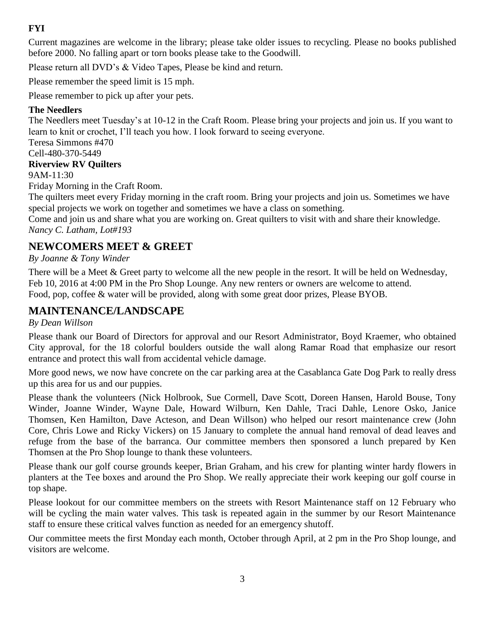## **FYI**

Current magazines are welcome in the library; please take older issues to recycling. Please no books published before 2000. No falling apart or torn books please take to the Goodwill.

Please return all DVD's & Video Tapes, Please be kind and return.

Please remember the speed limit is 15 mph.

Please remember to pick up after your pets.

### **The Needlers**

The Needlers meet Tuesday's at 10-12 in the Craft Room. Please bring your projects and join us. If you want to learn to knit or crochet, I'll teach you how. I look forward to seeing everyone.

Teresa Simmons #470 Cell-480-370-5449

### **Riverview RV Quilters**

9AM-11:30

Friday Morning in the Craft Room.

The quilters meet every Friday morning in the craft room. Bring your projects and join us. Sometimes we have special projects we work on together and sometimes we have a class on something.

Come and join us and share what you are working on. Great quilters to visit with and share their knowledge. *Nancy C. Latham, Lot#193*

# **NEWCOMERS MEET & GREET**

*By Joanne & Tony Winder*

There will be a Meet & Greet party to welcome all the new people in the resort. It will be held on Wednesday, Feb 10, 2016 at 4:00 PM in the Pro Shop Lounge. Any new renters or owners are welcome to attend. Food, pop, coffee & water will be provided, along with some great door prizes, Please BYOB.

### **MAINTENANCE/LANDSCAPE**

#### *By Dean Willson*

Please thank our Board of Directors for approval and our Resort Administrator, Boyd Kraemer, who obtained City approval, for the 18 colorful boulders outside the wall along Ramar Road that emphasize our resort entrance and protect this wall from accidental vehicle damage.

More good news, we now have concrete on the car parking area at the Casablanca Gate Dog Park to really dress up this area for us and our puppies.

Please thank the volunteers (Nick Holbrook, Sue Cormell, Dave Scott, Doreen Hansen, Harold Bouse, Tony Winder, Joanne Winder, Wayne Dale, Howard Wilburn, Ken Dahle, Traci Dahle, Lenore Osko, Janice Thomsen, Ken Hamilton, Dave Acteson, and Dean Willson) who helped our resort maintenance crew (John Core, Chris Lowe and Ricky Vickers) on 15 January to complete the annual hand removal of dead leaves and refuge from the base of the barranca. Our committee members then sponsored a lunch prepared by Ken Thomsen at the Pro Shop lounge to thank these volunteers.

Please thank our golf course grounds keeper, Brian Graham, and his crew for planting winter hardy flowers in planters at the Tee boxes and around the Pro Shop. We really appreciate their work keeping our golf course in top shape.

Please lookout for our committee members on the streets with Resort Maintenance staff on 12 February who will be cycling the main water valves. This task is repeated again in the summer by our Resort Maintenance staff to ensure these critical valves function as needed for an emergency shutoff.

Our committee meets the first Monday each month, October through April, at 2 pm in the Pro Shop lounge, and visitors are welcome.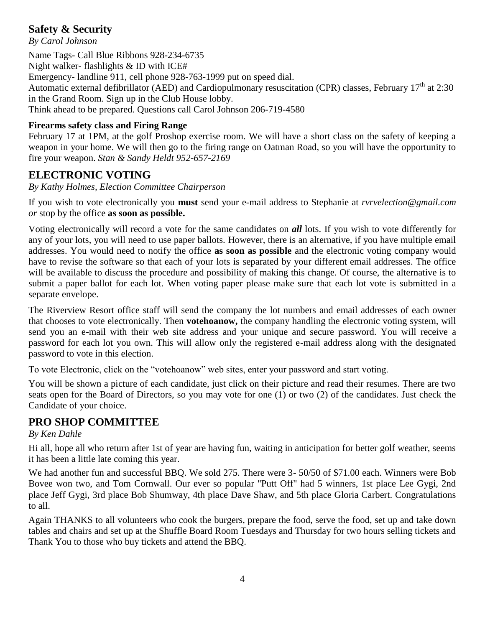# **Safety & Security**

*By Carol Johnson*

Name Tags- Call Blue Ribbons 928-234-6735 Night walker- flashlights & ID with ICE# Emergency- landline 911, cell phone 928-763-1999 put on speed dial. Automatic external defibrillator (AED) and Cardiopulmonary resuscitation (CPR) classes, February 17<sup>th</sup> at 2:30 in the Grand Room. Sign up in the Club House lobby. Think ahead to be prepared. Questions call Carol Johnson 206-719-4580

### **Firearms safety class and Firing Range**

February 17 at 1PM, at the golf Proshop exercise room. We will have a short class on the safety of keeping a weapon in your home. We will then go to the firing range on Oatman Road, so you will have the opportunity to fire your weapon. *Stan & Sandy Heldt 952-657-2169*

# **ELECTRONIC VOTING**

*By Kathy Holmes, Election Committee Chairperson*

If you wish to vote electronically you **must** send your e-mail address to Stephanie at *[rvrvelection@gmail.com](mailto:rvrvelection@gmail.com) or* stop by the office **as soon as possible.**

Voting electronically will record a vote for the same candidates on *all* lots. If you wish to vote differently for any of your lots, you will need to use paper ballots. However, there is an alternative, if you have multiple email addresses. You would need to notify the office **as soon as possible** and the electronic voting company would have to revise the software so that each of your lots is separated by your different email addresses. The office will be available to discuss the procedure and possibility of making this change. Of course, the alternative is to submit a paper ballot for each lot. When voting paper please make sure that each lot vote is submitted in a separate envelope.

The Riverview Resort office staff will send the company the lot numbers and email addresses of each owner that chooses to vote electronically. Then **votehoanow,** the company handling the electronic voting system, will send you an e-mail with their web site address and your unique and secure password. You will receive a password for each lot you own. This will allow only the registered e-mail address along with the designated password to vote in this election.

To vote Electronic, click on the "votehoanow" web sites, enter your password and start voting.

You will be shown a picture of each candidate, just click on their picture and read their resumes. There are two seats open for the Board of Directors, so you may vote for one (1) or two (2) of the candidates. Just check the Candidate of your choice.

# **PRO SHOP COMMITTEE**

### *By Ken Dahle*

Hi all, hope all who return after 1st of year are having fun, waiting in anticipation for better golf weather, seems it has been a little late coming this year.

We had another fun and successful BBQ. We sold 275. There were 3- 50/50 of \$71.00 each. Winners were Bob Bovee won two, and Tom Cornwall. Our ever so popular "Putt Off" had 5 winners, 1st place Lee Gygi, 2nd place Jeff Gygi, 3rd place Bob Shumway, 4th place Dave Shaw, and 5th place Gloria Carbert. Congratulations to all.

Again THANKS to all volunteers who cook the burgers, prepare the food, serve the food, set up and take down tables and chairs and set up at the Shuffle Board Room Tuesdays and Thursday for two hours selling tickets and Thank You to those who buy tickets and attend the BBQ.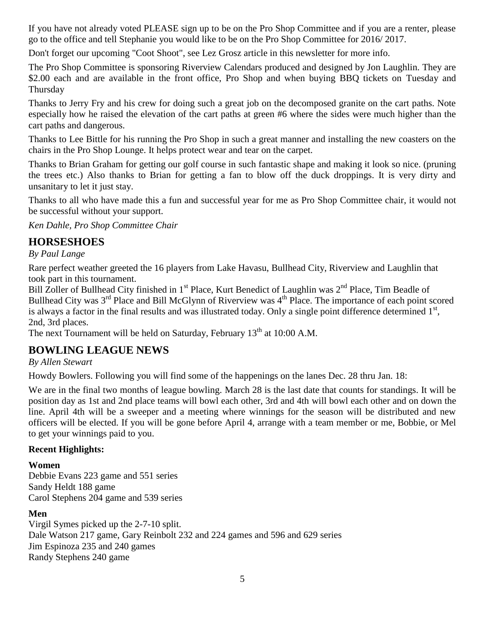If you have not already voted PLEASE sign up to be on the Pro Shop Committee and if you are a renter, please go to the office and tell Stephanie you would like to be on the Pro Shop Committee for 2016/ 2017.

Don't forget our upcoming "Coot Shoot", see Lez Grosz article in this newsletter for more info.

The Pro Shop Committee is sponsoring Riverview Calendars produced and designed by Jon Laughlin. They are \$2.00 each and are available in the front office, Pro Shop and when buying BBQ tickets on Tuesday and Thursday

Thanks to Jerry Fry and his crew for doing such a great job on the decomposed granite on the cart paths. Note especially how he raised the elevation of the cart paths at green #6 where the sides were much higher than the cart paths and dangerous.

Thanks to Lee Bittle for his running the Pro Shop in such a great manner and installing the new coasters on the chairs in the Pro Shop Lounge. It helps protect wear and tear on the carpet.

Thanks to Brian Graham for getting our golf course in such fantastic shape and making it look so nice. (pruning the trees etc.) Also thanks to Brian for getting a fan to blow off the duck droppings. It is very dirty and unsanitary to let it just stay.

Thanks to all who have made this a fun and successful year for me as Pro Shop Committee chair, it would not be successful without your support.

*Ken Dahle, Pro Shop Committee Chair*

# **HORSESHOES**

### *By Paul Lange*

Rare perfect weather greeted the 16 players from Lake Havasu, Bullhead City, Riverview and Laughlin that took part in this tournament.

Bill Zoller of Bullhead City finished in 1<sup>st</sup> Place, Kurt Benedict of Laughlin was 2<sup>nd</sup> Place, Tim Beadle of Bullhead City was 3<sup>rd</sup> Place and Bill McGlynn of Riverview was 4<sup>th</sup> Place. The importance of each point scored is always a factor in the final results and was illustrated today. Only a single point difference determined  $1<sup>st</sup>$ , 2nd, 3rd places.

The next Tournament will be held on Saturday, February 13<sup>th</sup> at 10:00 A.M.

### **BOWLING LEAGUE NEWS**

*By Allen Stewart*

Howdy Bowlers. Following you will find some of the happenings on the lanes Dec. 28 thru Jan. 18:

We are in the final two months of league bowling. March 28 is the last date that counts for standings. It will be position day as 1st and 2nd place teams will bowl each other, 3rd and 4th will bowl each other and on down the line. April 4th will be a sweeper and a meeting where winnings for the season will be distributed and new officers will be elected. If you will be gone before April 4, arrange with a team member or me, Bobbie, or Mel to get your winnings paid to you.

#### **Recent Highlights:**

#### **Women**

Debbie Evans 223 game and 551 series Sandy Heldt 188 game Carol Stephens 204 game and 539 series

#### **Men**

Virgil Symes picked up the 2-7-10 split. Dale Watson 217 game, Gary Reinbolt 232 and 224 games and 596 and 629 series Jim Espinoza 235 and 240 games Randy Stephens 240 game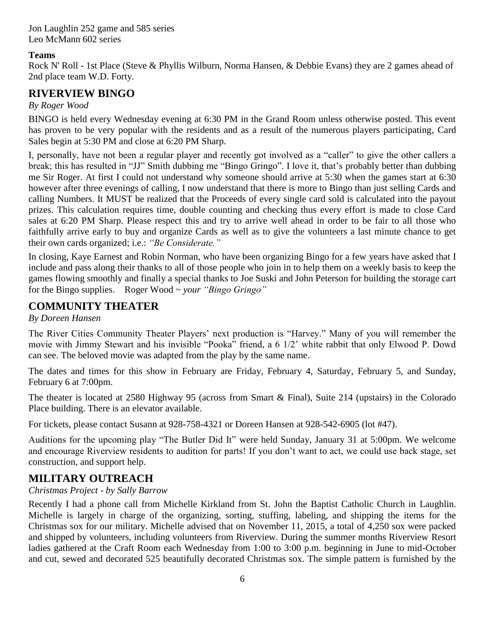Jon Laughlin 252 game and 585 series Leo McMann 602 series

#### **Teams**

Rock N' Roll - 1st Place (Steve & Phyllis Wilburn, Norma Hansen, & Debbie Evans) they are 2 games ahead of 2nd place team W.D. Forty.

### **RIVERVIEW BINGO**

*By Roger Wood*

BINGO is held every Wednesday evening at 6:30 PM in the Grand Room unless otherwise posted. This event has proven to be very popular with the residents and as a result of the numerous players participating, Card Sales begin at 5:30 PM and close at 6:20 PM Sharp.

I, personally, have not been a regular player and recently got involved as a "caller" to give the other callers a break; this has resulted in "JJ" Smith dubbing me "Bingo Gringo". I love it, that's probably better than dubbing me Sir Roger. At first I could not understand why someone should arrive at 5:30 when the games start at 6:30 however after three evenings of calling, I now understand that there is more to Bingo than just selling Cards and calling Numbers. It MUST be realized that the Proceeds of every single card sold is calculated into the payout prizes. This calculation requires time, double counting and checking thus every effort is made to close Card sales at 6:20 PM Sharp. Please respect this and try to arrive well ahead in order to be fair to all those who faithfully arrive early to buy and organize Cards as well as to give the volunteers a last minute chance to get their own cards organized; i.e.: *"Be Considerate."*

In closing, Kaye Earnest and Robin Norman, who have been organizing Bingo for a few years have asked that I include and pass along their thanks to all of those people who join in to help them on a weekly basis to keep the games flowing smoothly and finally a special thanks to Joe Suski and John Peterson for building the storage cart for the Bingo supplies. Roger Wood ~ *your "Bingo Gringo"*

## **COMMUNITY THEATER**

*By Doreen Hansen*

The River Cities Community Theater Players' next production is "Harvey." Many of you will remember the movie with Jimmy Stewart and his invisible "Pooka" friend, a 6 1/2' white rabbit that only Elwood P. Dowd can see. The beloved movie was adapted from the play by the same name.

The dates and times for this show in February are Friday, February 4, Saturday, February 5, and Sunday, February 6 at 7:00pm.

The theater is located at 2580 Highway 95 (across from Smart & Final), Suite 214 (upstairs) in the Colorado Place building. There is an elevator available.

For tickets, please contact Susann at 928-758-4321 or Doreen Hansen at 928-542-6905 (lot #47).

Auditions for the upcoming play "The Butler Did It" were held Sunday, January 31 at 5:00pm. We welcome and encourage Riverview residents to audition for parts! If you don't want to act, we could use back stage, set construction, and support help.

# **MILITARY OUTREACH**

*Christmas Project - by Sally Barrow* 

Recently I had a phone call from Michelle Kirkland from St. John the Baptist Catholic Church in Laughlin. Michelle is largely in charge of the organizing, sorting, stuffing, labeling, and shipping the items for the Christmas sox for our military. Michelle advised that on November 11, 2015, a total of 4,250 sox were packed and shipped by volunteers, including volunteers from Riverview. During the summer months Riverview Resort ladies gathered at the Craft Room each Wednesday from 1:00 to 3:00 p.m. beginning in June to mid-October and cut, sewed and decorated 525 beautifully decorated Christmas sox. The simple pattern is furnished by the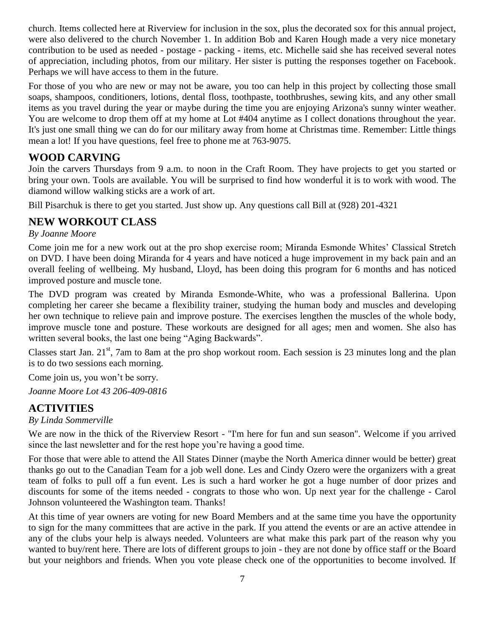church. Items collected here at Riverview for inclusion in the sox, plus the decorated sox for this annual project, were also delivered to the church November 1. In addition Bob and Karen Hough made a very nice monetary contribution to be used as needed - postage - packing - items, etc. Michelle said she has received several notes of appreciation, including photos, from our military. Her sister is putting the responses together on Facebook. Perhaps we will have access to them in the future.

For those of you who are new or may not be aware, you too can help in this project by collecting those small soaps, shampoos, conditioners, lotions, dental floss, toothpaste, toothbrushes, sewing kits, and any other small items as you travel during the year or maybe during the time you are enjoying Arizona's sunny winter weather. You are welcome to drop them off at my home at Lot #404 anytime as I collect donations throughout the year. It's just one small thing we can do for our military away from home at Christmas time. Remember: Little things mean a lot! If you have questions, feel free to phone me at 763-9075.

## **WOOD CARVING**

Join the carvers Thursdays from 9 a.m. to noon in the Craft Room. They have projects to get you started or bring your own. Tools are available. You will be surprised to find how wonderful it is to work with wood. The diamond willow walking sticks are a work of art.

Bill Pisarchuk is there to get you started. Just show up. Any questions call Bill at (928) 201-4321

### **NEW WORKOUT CLASS**

#### *By Joanne Moore*

Come join me for a new work out at the pro shop exercise room; Miranda Esmonde Whites' Classical Stretch on DVD. I have been doing Miranda for 4 years and have noticed a huge improvement in my back pain and an overall feeling of wellbeing. My husband, Lloyd, has been doing this program for 6 months and has noticed improved posture and muscle tone.

The DVD program was created by Miranda Esmonde-White, who was a professional Ballerina. Upon completing her career she became a flexibility trainer, studying the human body and muscles and developing her own technique to relieve pain and improve posture. The exercises lengthen the muscles of the whole body, improve muscle tone and posture. These workouts are designed for all ages; men and women. She also has written several books, the last one being "Aging Backwards".

Classes start Jan.  $21<sup>st</sup>$ , 7am to 8am at the pro shop workout room. Each session is 23 minutes long and the plan is to do two sessions each morning.

Come join us, you won't be sorry.

*Joanne Moore Lot 43 206-409-0816*

### **ACTIVITIES**

#### *By Linda Sommerville*

We are now in the thick of the Riverview Resort - "I'm here for fun and sun season". Welcome if you arrived since the last newsletter and for the rest hope you're having a good time.

For those that were able to attend the All States Dinner (maybe the North America dinner would be better) great thanks go out to the Canadian Team for a job well done. Les and Cindy Ozero were the organizers with a great team of folks to pull off a fun event. Les is such a hard worker he got a huge number of door prizes and discounts for some of the items needed - congrats to those who won. Up next year for the challenge - Carol Johnson volunteered the Washington team. Thanks!

At this time of year owners are voting for new Board Members and at the same time you have the opportunity to sign for the many committees that are active in the park. If you attend the events or are an active attendee in any of the clubs your help is always needed. Volunteers are what make this park part of the reason why you wanted to buy/rent here. There are lots of different groups to join - they are not done by office staff or the Board but your neighbors and friends. When you vote please check one of the opportunities to become involved. If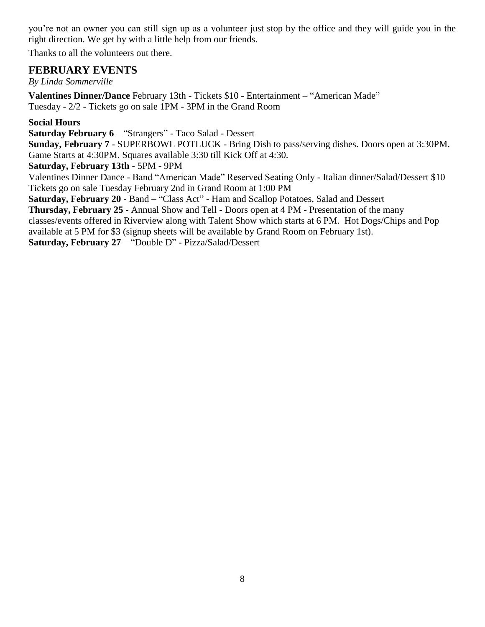you're not an owner you can still sign up as a volunteer just stop by the office and they will guide you in the right direction. We get by with a little help from our friends.

Thanks to all the volunteers out there.

### **FEBRUARY EVENTS**

*By Linda Sommerville*

**Valentines Dinner/Dance** February 13th - Tickets \$10 - Entertainment – "American Made" Tuesday - 2/2 - Tickets go on sale 1PM - 3PM in the Grand Room

### **Social Hours**

**Saturday February 6** – "Strangers" - Taco Salad - Dessert

**Sunday, February 7** - SUPERBOWL POTLUCK - Bring Dish to pass/serving dishes. Doors open at 3:30PM. Game Starts at 4:30PM. Squares available 3:30 till Kick Off at 4:30.

**Saturday, February 13th** - 5PM - 9PM

Valentines Dinner Dance - Band "American Made" Reserved Seating Only - Italian dinner/Salad/Dessert \$10 Tickets go on sale Tuesday February 2nd in Grand Room at 1:00 PM

**Saturday, February 20** - Band – "Class Act" - Ham and Scallop Potatoes, Salad and Dessert

**Thursday, February 25** - Annual Show and Tell - Doors open at 4 PM - Presentation of the many

classes/events offered in Riverview along with Talent Show which starts at 6 PM. Hot Dogs/Chips and Pop available at 5 PM for \$3 (signup sheets will be available by Grand Room on February 1st).

**Saturday, February 27** – "Double D" - Pizza/Salad/Dessert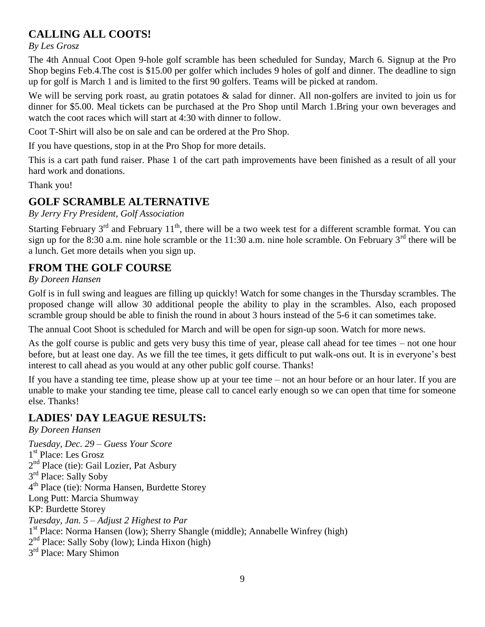# **CALLING ALL COOTS!**

*By Les Grosz*

The 4th Annual Coot Open 9-hole golf scramble has been scheduled for Sunday, March 6. Signup at the Pro Shop begins Feb.4.The cost is \$15.00 per golfer which includes 9 holes of golf and dinner. The deadline to sign up for golf is March 1 and is limited to the first 90 golfers. Teams will be picked at random.

We will be serving pork roast, au gratin potatoes & salad for dinner. All non-golfers are invited to join us for dinner for \$5.00. Meal tickets can be purchased at the Pro Shop until March 1.Bring your own beverages and watch the coot races which will start at 4:30 with dinner to follow.

Coot T-Shirt will also be on sale and can be ordered at the Pro Shop.

If you have questions, stop in at the Pro Shop for more details.

This is a cart path fund raiser. Phase 1 of the cart path improvements have been finished as a result of all your hard work and donations.

Thank you!

# **GOLF SCRAMBLE ALTERNATIVE**

*By Jerry Fry President, Golf Association*

Starting February  $3<sup>rd</sup>$  and February  $11<sup>th</sup>$ , there will be a two week test for a different scramble format. You can sign up for the 8:30 a.m. nine hole scramble or the 11:30 a.m. nine hole scramble. On February  $3<sup>rd</sup>$  there will be a lunch. Get more details when you sign up.

## **FROM THE GOLF COURSE**

### *By Doreen Hansen*

Golf is in full swing and leagues are filling up quickly! Watch for some changes in the Thursday scrambles. The proposed change will allow 30 additional people the ability to play in the scrambles. Also, each proposed scramble group should be able to finish the round in about 3 hours instead of the 5-6 it can sometimes take.

The annual Coot Shoot is scheduled for March and will be open for sign-up soon. Watch for more news.

As the golf course is public and gets very busy this time of year, please call ahead for tee times – not one hour before, but at least one day. As we fill the tee times, it gets difficult to put walk-ons out. It is in everyone's best interest to call ahead as you would at any other public golf course. Thanks!

If you have a standing tee time, please show up at your tee time – not an hour before or an hour later. If you are unable to make your standing tee time, please call to cancel early enough so we can open that time for someone else. Thanks!

# **LADIES' DAY LEAGUE RESULTS:**

*By Doreen Hansen Tuesday, Dec. 29 – Guess Your Score* 1<sup>st</sup> Place: Les Grosz 2<sup>nd</sup> Place (tie): Gail Lozier, Pat Asbury 3<sup>rd</sup> Place: Sally Soby 4 th Place (tie): Norma Hansen, Burdette Storey Long Putt: Marcia Shumway KP: Burdette Storey *Tuesday, Jan. 5 – Adjust 2 Highest to Par* 1<sup>st</sup> Place: Norma Hansen (low); Sherry Shangle (middle); Annabelle Winfrey (high) 2<sup>nd</sup> Place: Sally Soby (low); Linda Hixon (high) 3<sup>rd</sup> Place: Mary Shimon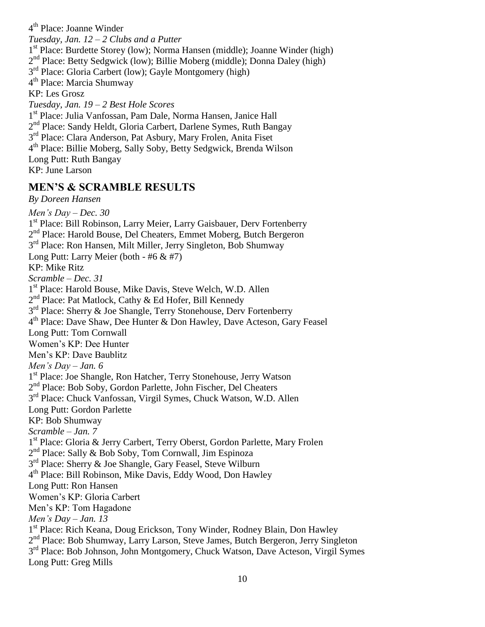4<sup>th</sup> Place: Joanne Winder *Tuesday, Jan. 12 – 2 Clubs and a Putter* 1<sup>st</sup> Place: Burdette Storey (low); Norma Hansen (middle); Joanne Winder (high) 2<sup>nd</sup> Place: Betty Sedgwick (low); Billie Moberg (middle); Donna Daley (high) 3<sup>rd</sup> Place: Gloria Carbert (low); Gayle Montgomery (high) 4<sup>th</sup> Place: Marcia Shumway KP: Les Grosz *Tuesday, Jan. 19 – 2 Best Hole Scores* 1<sup>st</sup> Place: Julia Vanfossan, Pam Dale, Norma Hansen, Janice Hall 2<sup>nd</sup> Place: Sandy Heldt, Gloria Carbert, Darlene Symes, Ruth Bangay 3<sup>rd</sup> Place: Clara Anderson, Pat Asbury, Mary Frolen, Anita Fiset 4 th Place: Billie Moberg, Sally Soby, Betty Sedgwick, Brenda Wilson Long Putt: Ruth Bangay KP: June Larson

### **MEN'S & SCRAMBLE RESULTS**

*By Doreen Hansen*

*Men's Day – Dec. 30* 1<sup>st</sup> Place: Bill Robinson, Larry Meier, Larry Gaisbauer, Derv Fortenberry 2<sup>nd</sup> Place: Harold Bouse, Del Cheaters, Emmet Moberg, Butch Bergeron 3<sup>rd</sup> Place: Ron Hansen, Milt Miller, Jerry Singleton, Bob Shumway Long Putt: Larry Meier (both - #6 & #7) KP: Mike Ritz *Scramble – Dec. 31* 1<sup>st</sup> Place: Harold Bouse, Mike Davis, Steve Welch, W.D. Allen 2<sup>nd</sup> Place: Pat Matlock, Cathy & Ed Hofer, Bill Kennedy 3<sup>rd</sup> Place: Sherry & Joe Shangle, Terry Stonehouse, Derv Fortenberry 4<sup>th</sup> Place: Dave Shaw, Dee Hunter & Don Hawley, Dave Acteson, Gary Feasel Long Putt: Tom Cornwall Women's KP: Dee Hunter Men's KP: Dave Baublitz *Men's Day – Jan. 6* 1<sup>st</sup> Place: Joe Shangle, Ron Hatcher, Terry Stonehouse, Jerry Watson 2<sup>nd</sup> Place: Bob Soby, Gordon Parlette, John Fischer, Del Cheaters 3<sup>rd</sup> Place: Chuck Vanfossan, Virgil Symes, Chuck Watson, W.D. Allen Long Putt: Gordon Parlette KP: Bob Shumway *Scramble – Jan. 7* 1<sup>st</sup> Place: Gloria & Jerry Carbert, Terry Oberst, Gordon Parlette, Mary Frolen 2<sup>nd</sup> Place: Sally & Bob Soby, Tom Cornwall, Jim Espinoza 3<sup>rd</sup> Place: Sherry & Joe Shangle, Gary Feasel, Steve Wilburn 4 th Place: Bill Robinson, Mike Davis, Eddy Wood, Don Hawley Long Putt: Ron Hansen Women's KP: Gloria Carbert Men's KP: Tom Hagadone *Men's Day – Jan. 13* 1<sup>st</sup> Place: Rich Keana, Doug Erickson, Tony Winder, Rodney Blain, Don Hawley 2<sup>nd</sup> Place: Bob Shumway, Larry Larson, Steve James, Butch Bergeron, Jerry Singleton 3<sup>rd</sup> Place: Bob Johnson, John Montgomery, Chuck Watson, Dave Acteson, Virgil Symes Long Putt: Greg Mills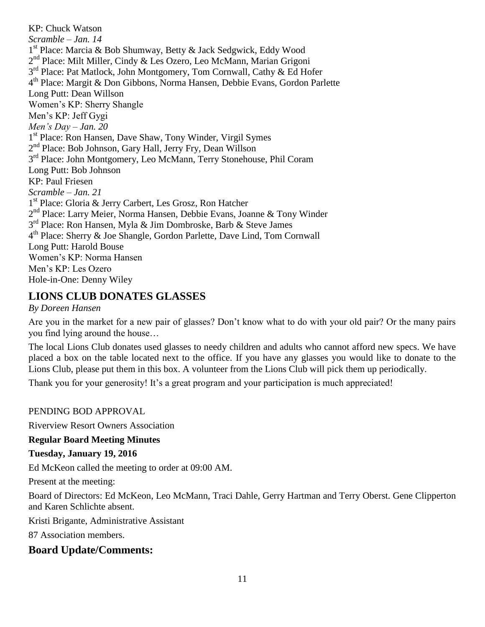KP: Chuck Watson *Scramble – Jan. 14* 1<sup>st</sup> Place: Marcia & Bob Shumway, Betty & Jack Sedgwick, Eddy Wood 2<sup>nd</sup> Place: Milt Miller, Cindy & Les Ozero, Leo McMann, Marian Grigoni 3<sup>rd</sup> Place: Pat Matlock, John Montgomery, Tom Cornwall, Cathy & Ed Hofer 4 th Place: Margit & Don Gibbons, Norma Hansen, Debbie Evans, Gordon Parlette Long Putt: Dean Willson Women's KP: Sherry Shangle Men's KP: Jeff Gygi *Men's Day – Jan. 20* 1 st Place: Ron Hansen, Dave Shaw, Tony Winder, Virgil Symes 2<sup>nd</sup> Place: Bob Johnson, Gary Hall, Jerry Fry, Dean Willson 3<sup>rd</sup> Place: John Montgomery, Leo McMann, Terry Stonehouse, Phil Coram Long Putt: Bob Johnson KP: Paul Friesen *Scramble – Jan. 21* 1<sup>st</sup> Place: Gloria & Jerry Carbert, Les Grosz, Ron Hatcher 2<sup>nd</sup> Place: Larry Meier, Norma Hansen, Debbie Evans, Joanne & Tony Winder 3<sup>rd</sup> Place: Ron Hansen, Myla & Jim Dombroske, Barb & Steve James 4<sup>th</sup> Place: Sherry & Joe Shangle, Gordon Parlette, Dave Lind, Tom Cornwall Long Putt: Harold Bouse Women's KP: Norma Hansen Men's KP: Les Ozero Hole-in-One: Denny Wiley

### **LIONS CLUB DONATES GLASSES**

*By Doreen Hansen*

Are you in the market for a new pair of glasses? Don't know what to do with your old pair? Or the many pairs you find lying around the house…

The local Lions Club donates used glasses to needy children and adults who cannot afford new specs. We have placed a box on the table located next to the office. If you have any glasses you would like to donate to the Lions Club, please put them in this box. A volunteer from the Lions Club will pick them up periodically.

Thank you for your generosity! It's a great program and your participation is much appreciated!

#### PENDING BOD APPROVAL

Riverview Resort Owners Association

#### **Regular Board Meeting Minutes**

#### **Tuesday, January 19, 2016**

Ed McKeon called the meeting to order at 09:00 AM.

Present at the meeting:

Board of Directors: Ed McKeon, Leo McMann, Traci Dahle, Gerry Hartman and Terry Oberst. Gene Clipperton and Karen Schlichte absent.

Kristi Brigante, Administrative Assistant

87 Association members.

### **Board Update/Comments:**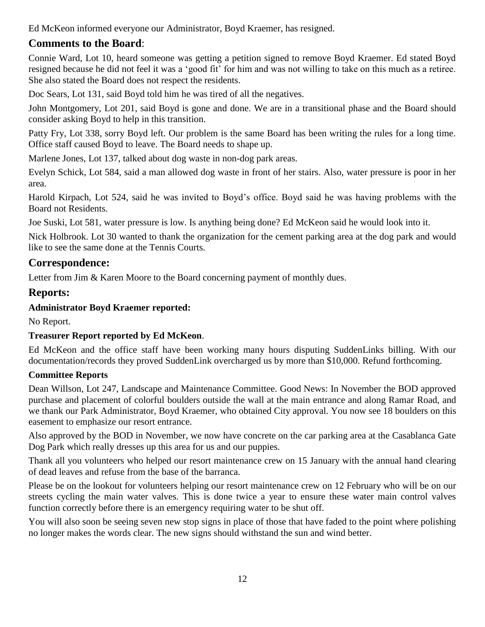Ed McKeon informed everyone our Administrator, Boyd Kraemer, has resigned.

# **Comments to the Board**:

Connie Ward, Lot 10, heard someone was getting a petition signed to remove Boyd Kraemer. Ed stated Boyd resigned because he did not feel it was a 'good fit' for him and was not willing to take on this much as a retiree. She also stated the Board does not respect the residents.

Doc Sears, Lot 131, said Boyd told him he was tired of all the negatives.

John Montgomery, Lot 201, said Boyd is gone and done. We are in a transitional phase and the Board should consider asking Boyd to help in this transition.

Patty Fry, Lot 338, sorry Boyd left. Our problem is the same Board has been writing the rules for a long time. Office staff caused Boyd to leave. The Board needs to shape up.

Marlene Jones, Lot 137, talked about dog waste in non-dog park areas.

Evelyn Schick, Lot 584, said a man allowed dog waste in front of her stairs. Also, water pressure is poor in her area.

Harold Kirpach, Lot 524, said he was invited to Boyd's office. Boyd said he was having problems with the Board not Residents.

Joe Suski, Lot 581, water pressure is low. Is anything being done? Ed McKeon said he would look into it.

Nick Holbrook. Lot 30 wanted to thank the organization for the cement parking area at the dog park and would like to see the same done at the Tennis Courts.

# **Correspondence:**

Letter from Jim & Karen Moore to the Board concerning payment of monthly dues.

# **Reports:**

### **Administrator Boyd Kraemer reported:**

No Report.

### **Treasurer Report reported by Ed McKeon**.

Ed McKeon and the office staff have been working many hours disputing SuddenLinks billing. With our documentation/records they proved SuddenLink overcharged us by more than \$10,000. Refund forthcoming.

### **Committee Reports**

Dean Willson, Lot 247, Landscape and Maintenance Committee. Good News: In November the BOD approved purchase and placement of colorful boulders outside the wall at the main entrance and along Ramar Road, and we thank our Park Administrator, Boyd Kraemer, who obtained City approval. You now see 18 boulders on this easement to emphasize our resort entrance.

Also approved by the BOD in November, we now have concrete on the car parking area at the Casablanca Gate Dog Park which really dresses up this area for us and our puppies.

Thank all you volunteers who helped our resort maintenance crew on 15 January with the annual hand clearing of dead leaves and refuse from the base of the barranca.

Please be on the lookout for volunteers helping our resort maintenance crew on 12 February who will be on our streets cycling the main water valves. This is done twice a year to ensure these water main control valves function correctly before there is an emergency requiring water to be shut off.

You will also soon be seeing seven new stop signs in place of those that have faded to the point where polishing no longer makes the words clear. The new signs should withstand the sun and wind better.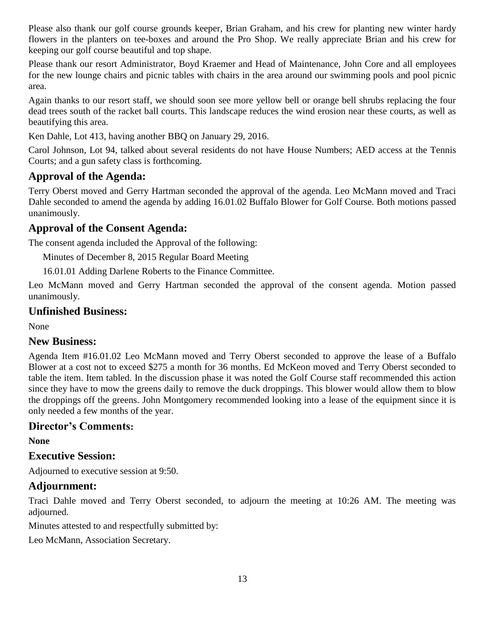Please also thank our golf course grounds keeper, Brian Graham, and his crew for planting new winter hardy flowers in the planters on tee-boxes and around the Pro Shop. We really appreciate Brian and his crew for keeping our golf course beautiful and top shape.

Please thank our resort Administrator, Boyd Kraemer and Head of Maintenance, John Core and all employees for the new lounge chairs and picnic tables with chairs in the area around our swimming pools and pool picnic area.

Again thanks to our resort staff, we should soon see more yellow bell or orange bell shrubs replacing the four dead trees south of the racket ball courts. This landscape reduces the wind erosion near these courts, as well as beautifying this area.

Ken Dahle, Lot 413, having another BBQ on January 29, 2016.

Carol Johnson, Lot 94, talked about several residents do not have House Numbers; AED access at the Tennis Courts; and a gun safety class is forthcoming.

## **Approval of the Agenda:**

Terry Oberst moved and Gerry Hartman seconded the approval of the agenda. Leo McMann moved and Traci Dahle seconded to amend the agenda by adding 16.01.02 Buffalo Blower for Golf Course. Both motions passed unanimously.

### **Approval of the Consent Agenda:**

The consent agenda included the Approval of the following:

Minutes of December 8, 2015 Regular Board Meeting

16.01.01 Adding Darlene Roberts to the Finance Committee.

Leo McMann moved and Gerry Hartman seconded the approval of the consent agenda. Motion passed unanimously.

### **Unfinished Business:**

None

### **New Business:**

Agenda Item #16.01.02 Leo McMann moved and Terry Oberst seconded to approve the lease of a Buffalo Blower at a cost not to exceed \$275 a month for 36 months. Ed McKeon moved and Terry Oberst seconded to table the item. Item tabled. In the discussion phase it was noted the Golf Course staff recommended this action since they have to mow the greens daily to remove the duck droppings. This blower would allow them to blow the droppings off the greens. John Montgomery recommended looking into a lease of the equipment since it is only needed a few months of the year.

### **Director's Comments:**

**None**

### **Executive Session:**

Adjourned to executive session at 9:50.

### **Adjournment:**

Traci Dahle moved and Terry Oberst seconded, to adjourn the meeting at 10:26 AM. The meeting was adjourned.

Minutes attested to and respectfully submitted by:

Leo McMann, Association Secretary.